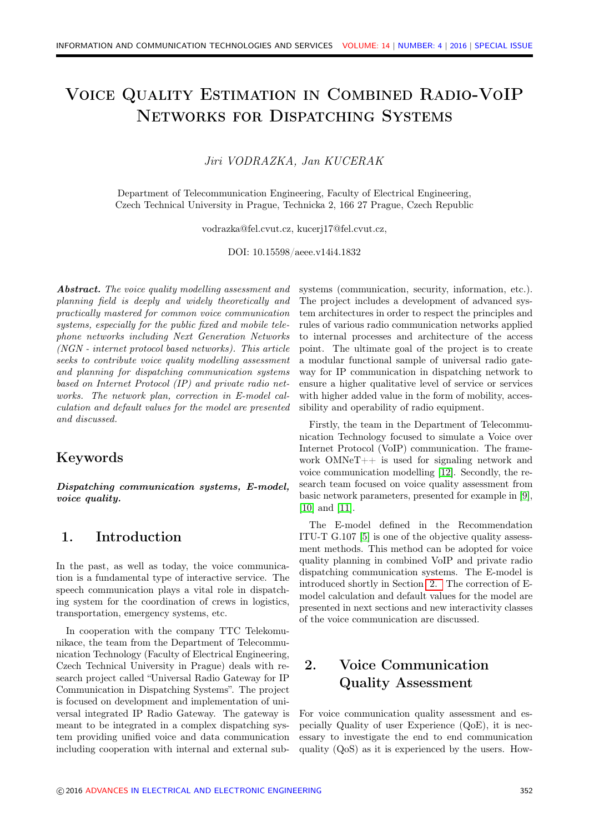# Voice Quality Estimation in Combined Radio-VoIP Networks for Dispatching Systems

#### Jiri VODRAZKA, Jan KUCERAK

Department of Telecommunication Engineering, Faculty of Electrical Engineering, Czech Technical University in Prague, Technicka 2, 166 27 Prague, Czech Republic

vodrazka@fel.cvut.cz, kucerj17@fel.cvut.cz,

DOI: 10.15598/aeee.v14i4.1832

Abstract. The voice quality modelling assessment and planning field is deeply and widely theoretically and practically mastered for common voice communication systems, especially for the public fixed and mobile telephone networks including Next Generation Networks (NGN - internet protocol based networks). This article seeks to contribute voice quality modelling assessment and planning for dispatching communication systems based on Internet Protocol (IP) and private radio networks. The network plan, correction in E-model calculation and default values for the model are presented and discussed.

# Keywords

Dispatching communication systems, E-model, voice quality.

# 1. Introduction

In the past, as well as today, the voice communication is a fundamental type of interactive service. The speech communication plays a vital role in dispatching system for the coordination of crews in logistics, transportation, emergency systems, etc.

In cooperation with the company TTC Telekomunikace, the team from the Department of Telecommunication Technology (Faculty of Electrical Engineering, Czech Technical University in Prague) deals with research project called "Universal Radio Gateway for IP Communication in Dispatching Systems". The project is focused on development and implementation of universal integrated IP Radio Gateway. The gateway is meant to be integrated in a complex dispatching system providing unified voice and data communication including cooperation with internal and external subsystems (communication, security, information, etc.). The project includes a development of advanced system architectures in order to respect the principles and rules of various radio communication networks applied to internal processes and architecture of the access point. The ultimate goal of the project is to create a modular functional sample of universal radio gateway for IP communication in dispatching network to ensure a higher qualitative level of service or services with higher added value in the form of mobility, accessibility and operability of radio equipment.

Firstly, the team in the Department of Telecommunication Technology focused to simulate a Voice over Internet Protocol (VoIP) communication. The framework OMNeT++ is used for signaling network and voice communication modelling [\[12\]](#page-5-0). Secondly, the research team focused on voice quality assessment from basic network parameters, presented for example in [\[9\]](#page-5-1), [\[10\]](#page-5-2) and [\[11\]](#page-5-3).

The E-model defined in the Recommendation ITU-T G.107 [\[5\]](#page-4-0) is one of the objective quality assessment methods. This method can be adopted for voice quality planning in combined VoIP and private radio dispatching communication systems. The E-model is introduced shortly in Section [2.](#page-0-0) The correction of Emodel calculation and default values for the model are presented in next sections and new interactivity classes of the voice communication are discussed.

# <span id="page-0-0"></span>2. Voice Communication Quality Assessment

For voice communication quality assessment and especially Quality of user Experience (QoE), it is necessary to investigate the end to end communication quality (QoS) as it is experienced by the users. How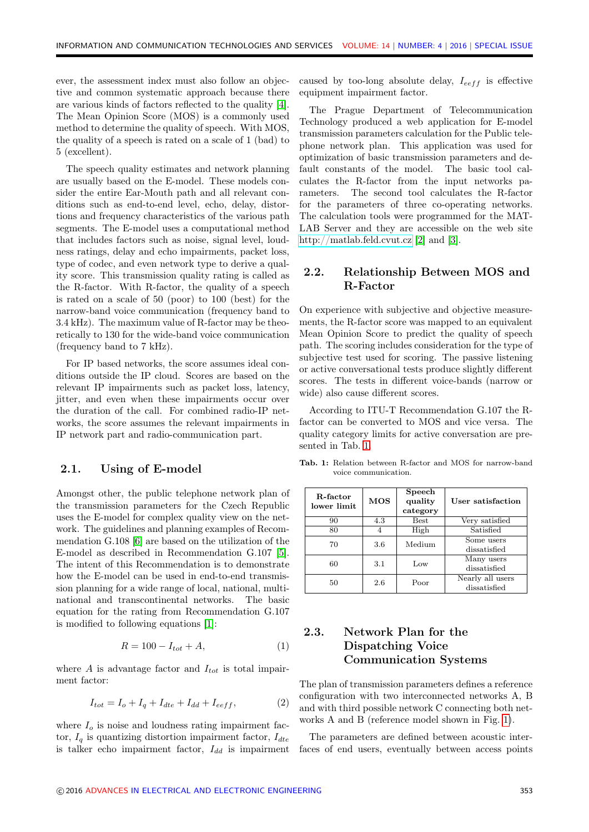ever, the assessment index must also follow an objective and common systematic approach because there are various kinds of factors reflected to the quality [\[4\]](#page-4-1). The Mean Opinion Score (MOS) is a commonly used method to determine the quality of speech. With MOS, the quality of a speech is rated on a scale of 1 (bad) to 5 (excellent).

The speech quality estimates and network planning are usually based on the E-model. These models consider the entire Ear-Mouth path and all relevant conditions such as end-to-end level, echo, delay, distortions and frequency characteristics of the various path segments. The E-model uses a computational method that includes factors such as noise, signal level, loudness ratings, delay and echo impairments, packet loss, type of codec, and even network type to derive a quality score. This transmission quality rating is called as the R-factor. With R-factor, the quality of a speech is rated on a scale of 50 (poor) to 100 (best) for the narrow-band voice communication (frequency band to 3.4 kHz). The maximum value of R-factor may be theoretically to 130 for the wide-band voice communication (frequency band to 7 kHz).

For IP based networks, the score assumes ideal conditions outside the IP cloud. Scores are based on the relevant IP impairments such as packet loss, latency, jitter, and even when these impairments occur over the duration of the call. For combined radio-IP networks, the score assumes the relevant impairments in IP network part and radio-communication part.

#### 2.1. Using of E-model

Amongst other, the public telephone network plan of the transmission parameters for the Czech Republic uses the E-model for complex quality view on the network. The guidelines and planning examples of Recommendation G.108 [\[6\]](#page-5-4) are based on the utilization of the E-model as described in Recommendation G.107 [\[5\]](#page-4-0). The intent of this Recommendation is to demonstrate how the E-model can be used in end-to-end transmission planning for a wide range of local, national, multinational and transcontinental networks. The basic equation for the rating from Recommendation G.107 is modified to following equations [\[1\]](#page-4-2):

$$
R = 100 - I_{tot} + A,
$$
 (1)

where  $A$  is advantage factor and  $I_{tot}$  is total impairment factor:

<span id="page-1-1"></span>
$$
I_{tot} = I_o + I_q + I_{dte} + I_{dd} + I_{eeff},
$$
 (2)

where  $I<sub>o</sub>$  is noise and loudness rating impairment factor,  $I_q$  is quantizing distortion impairment factor,  $I_{dt}$ is talker echo impairment factor,  $I_{dd}$  is impairment caused by too-long absolute delay,  $I_{ee\,f\,f}$  is effective equipment impairment factor.

The Prague Department of Telecommunication Technology produced a web application for E-model transmission parameters calculation for the Public telephone network plan. This application was used for optimization of basic transmission parameters and default constants of the model. The basic tool calculates the R-factor from the input networks parameters. The second tool calculates the R-factor for the parameters of three co-operating networks. The calculation tools were programmed for the MAT-LAB Server and they are accessible on the web site [http://matlab.feld.cvut.cz](http://matlab.feld.cvut.cz/) [\[2\]](#page-4-3) and [\[3\]](#page-4-4).

#### 2.2. Relationship Between MOS and R-Factor

On experience with subjective and objective measurements, the R-factor score was mapped to an equivalent Mean Opinion Score to predict the quality of speech path. The scoring includes consideration for the type of subjective test used for scoring. The passive listening or active conversational tests produce slightly different scores. The tests in different voice-bands (narrow or wide) also cause different scores.

According to ITU-T Recommendation G.107 the Rfactor can be converted to MOS and vice versa. The quality category limits for active conversation are presented in Tab. [1.](#page-1-0)

<span id="page-1-0"></span>Tab. 1: Relation between R-factor and MOS for narrow-band voice communication.

| R-factor<br>lower limit | <b>MOS</b> | Speech<br>quality<br>category | User satisfaction                |  |
|-------------------------|------------|-------------------------------|----------------------------------|--|
| 90                      | 4.3        | <b>Best</b>                   | Very satisfied                   |  |
| 80                      |            | High                          | Satisfied                        |  |
| 70                      | 3.6        | Medium                        | Some users<br>dissatisfied       |  |
| 60                      | 3.1        | Low                           | Many users<br>dissatisfied       |  |
| 50                      | 2.6        | Poor                          | Nearly all users<br>dissatisfied |  |

### 2.3. Network Plan for the Dispatching Voice Communication Systems

The plan of transmission parameters defines a reference configuration with two interconnected networks A, B and with third possible network C connecting both networks A and B (reference model shown in Fig. [1\)](#page-2-0).

The parameters are defined between acoustic interfaces of end users, eventually between access points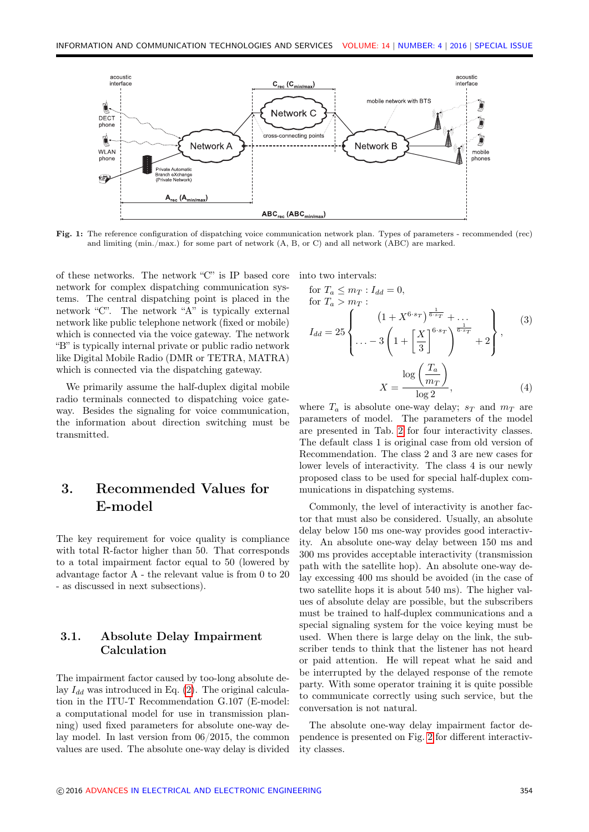<span id="page-2-0"></span>

Fig. 1: The reference configuration of dispatching voice communication network plan. Types of parameters - recommended (rec) and limiting (min./max.) for some part of network (A, B, or C) and all network (ABC) are marked.

of these networks. The network "C" is IP based core network for complex dispatching communication systems. The central dispatching point is placed in the network "C". The network "A" is typically external network like public telephone network (fixed or mobile) which is connected via the voice gateway. The network "B" is typically internal private or public radio network like Digital Mobile Radio (DMR or TETRA, MATRA) which is connected via the dispatching gateway.

We primarily assume the half-duplex digital mobile radio terminals connected to dispatching voice gateway. Besides the signaling for voice communication, the information about direction switching must be transmitted.

# 3. Recommended Values for E-model

The key requirement for voice quality is compliance with total R-factor higher than 50. That corresponds to a total impairment factor equal to 50 (lowered by advantage factor A - the relevant value is from 0 to 20 - as discussed in next subsections).

#### <span id="page-2-1"></span>3.1. Absolute Delay Impairment Calculation

The impairment factor caused by too-long absolute delay  $I_{dd}$  was introduced in Eq. [\(2\)](#page-1-1). The original calculation in the ITU-T Recommendation G.107 (E-model: a computational model for use in transmission planning) used fixed parameters for absolute one-way delay model. In last version from 06/2015, the common values are used. The absolute one-way delay is divided

into two intervals:

for 
$$
T_a \le m_T : I_{dd} = 0
$$
,  
\nfor  $T_a > m_T :$   
\n
$$
I_{dd} = 25 \left\{ \begin{array}{c} \left(1 + X^{6 \cdot s_T}\right)^{\frac{1}{6 \cdot s_T}} + \dots \\ \dots - 3 \left(1 + \left[\frac{X}{3}\right]^{6 \cdot s_T}\right)^{\frac{1}{6 \cdot s_T}} + 2 \right\}, \\ \dots - 3 \left(1 + \left[\frac{X}{3}\right]^{6 \cdot s_T}\right)^{\frac{1}{6 \cdot s_T}} + 2 \right\}, \\ X = \frac{\log\left(\frac{T_a}{m_T}\right)}{\log 2}, \end{array} \tag{4}
$$

where  $T_a$  is absolute one-way delay;  $s_T$  and  $m_T$  are parameters of model. The parameters of the model are presented in Tab. [2](#page-3-0) for four interactivity classes. The default class 1 is original case from old version of Recommendation. The class 2 and 3 are new cases for lower levels of interactivity. The class 4 is our newly proposed class to be used for special half-duplex communications in dispatching systems.

Commonly, the level of interactivity is another factor that must also be considered. Usually, an absolute delay below 150 ms one-way provides good interactivity. An absolute one-way delay between 150 ms and 300 ms provides acceptable interactivity (transmission path with the satellite hop). An absolute one-way delay excessing 400 ms should be avoided (in the case of two satellite hops it is about 540 ms). The higher values of absolute delay are possible, but the subscribers must be trained to half-duplex communications and a special signaling system for the voice keying must be used. When there is large delay on the link, the subscriber tends to think that the listener has not heard or paid attention. He will repeat what he said and be interrupted by the delayed response of the remote party. With some operator training it is quite possible to communicate correctly using such service, but the conversation is not natural.

The absolute one-way delay impairment factor dependence is presented on Fig. [2](#page-3-1) for different interactivity classes.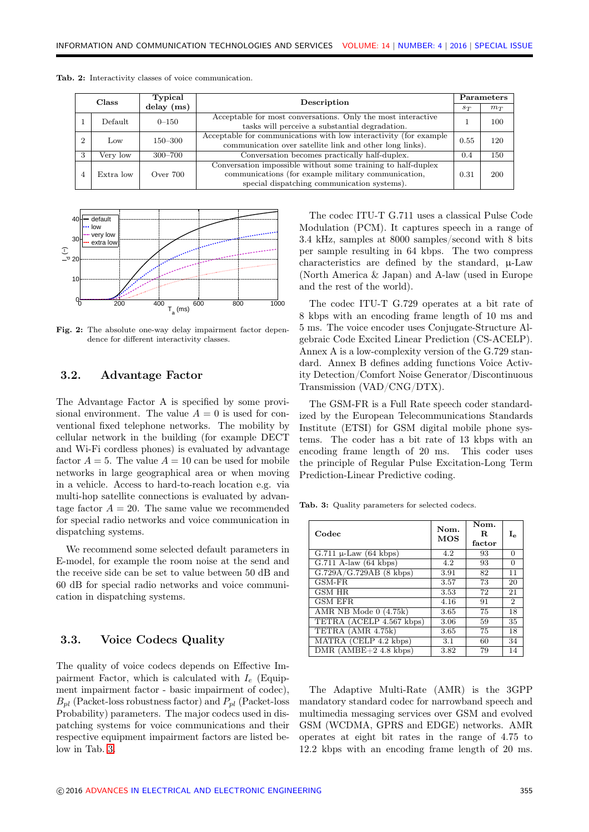| Class |           | Typical     | Description                                                                                                                                                        |  | Parameters |  |
|-------|-----------|-------------|--------------------------------------------------------------------------------------------------------------------------------------------------------------------|--|------------|--|
|       |           | delay (ms)  |                                                                                                                                                                    |  | $m_T$      |  |
|       | Default   | $0 - 150$   | Acceptable for most conversations. Only the most interactive<br>tasks will perceive a substantial degradation.                                                     |  | 100        |  |
|       | Low       | $150 - 300$ | Acceptable for communications with low interactivity (for example)<br>communication over satellite link and other long links).                                     |  | 120        |  |
|       | Very low  | $300 - 700$ | Conversation becomes practically half-duplex.                                                                                                                      |  | 150        |  |
|       | Extra low | Over $700$  | Conversation impossible without some training to half-duplex<br>communications (for example military communication,<br>special dispatching communication systems). |  | 200        |  |

<span id="page-3-0"></span>Tab. 2: Interactivity classes of voice communication.

<span id="page-3-1"></span>

Fig. 2: The absolute one-way delay impairment factor dependence for different interactivity classes.

#### 3.2. Advantage Factor

The Advantage Factor A is specified by some provisional environment. The value  $A = 0$  is used for conventional fixed telephone networks. The mobility by cellular network in the building (for example DECT and Wi-Fi cordless phones) is evaluated by advantage factor  $A = 5$ . The value  $A = 10$  can be used for mobile networks in large geographical area or when moving in a vehicle. Access to hard-to-reach location e.g. via multi-hop satellite connections is evaluated by advantage factor  $A = 20$ . The same value we recommended for special radio networks and voice communication in dispatching systems.

We recommend some selected default parameters in E-model, for example the room noise at the send and the receive side can be set to value between 50 dB and 60 dB for special radio networks and voice communication in dispatching systems.

#### 3.3. Voice Codecs Quality

The quality of voice codecs depends on Effective Impairment Factor, which is calculated with  $I_e$  (Equipment impairment factor - basic impairment of codec),  $B_{pl}$  (Packet-loss robustness factor) and  $P_{pl}$  (Packet-loss Probability) parameters. The major codecs used in dispatching systems for voice communications and their respective equipment impairment factors are listed below in Tab. [3.](#page-3-2)

The codec ITU-T G.711 uses a classical Pulse Code Modulation (PCM). It captures speech in a range of 3.4 kHz, samples at 8000 samples/second with 8 bits per sample resulting in 64 kbps. The two compress characteristics are defined by the standard,  $\mu$ -Law (North America & Japan) and A-law (used in Europe and the rest of the world).

The codec ITU-T G.729 operates at a bit rate of 8 kbps with an encoding frame length of 10 ms and 5 ms. The voice encoder uses Conjugate-Structure Algebraic Code Excited Linear Prediction (CS-ACELP). Annex A is a low-complexity version of the G.729 standard. Annex B defines adding functions Voice Activity Detection/Comfort Noise Generator/Discontinuous Transmission (VAD/CNG/DTX).

The GSM-FR is a Full Rate speech coder standardized by the European Telecommunications Standards Institute (ETSI) for GSM digital mobile phone systems. The coder has a bit rate of 13 kbps with an encoding frame length of 20 ms. This coder uses the principle of Regular Pulse Excitation-Long Term Prediction-Linear Predictive coding.

<span id="page-3-2"></span>Tab. 3: Quality parameters for selected codecs.

| Codec                             | Nom.<br><b>MOS</b> | Nom.<br>B.<br>factor | $I_{\alpha}$ |
|-----------------------------------|--------------------|----------------------|--------------|
| G.711 $\mu$ -Law (64 kbps)        | 4.2                | 93                   | $\Omega$     |
| $G.711$ A-law $(64 \text{ kbps})$ | 4.2                | 93                   | 0            |
| $G.729A/G.729AB$ (8 kbps)         | 3.91               | 82                   | 11           |
| GSM-FR                            | 3.57               | 73                   | 20           |
| GSM HR                            | 3.53               | 72                   | 21           |
| <b>GSM EFR</b>                    | 4.16               | 91                   | $2^{\circ}$  |
| AMR NB Mode $0$ $(4.75k)$         | 3.65               | 75                   | 18           |
| TETRA (ACELP 4.567 kbps)          | 3.06               | 59                   | 35           |
| TETRA $(AMR 4.75k)$               | 3.65               | 75                   | 18           |
| MATRA (CELP 4.2 kbps)             | 3.1                | 60                   | 34           |
| DMR $(AMBE+2 4.8 kbps)$           | 3.82               | 79                   | 14           |

The Adaptive Multi-Rate (AMR) is the 3GPP mandatory standard codec for narrowband speech and multimedia messaging services over GSM and evolved GSM (WCDMA, GPRS and EDGE) networks. AMR operates at eight bit rates in the range of 4.75 to 12.2 kbps with an encoding frame length of 20 ms.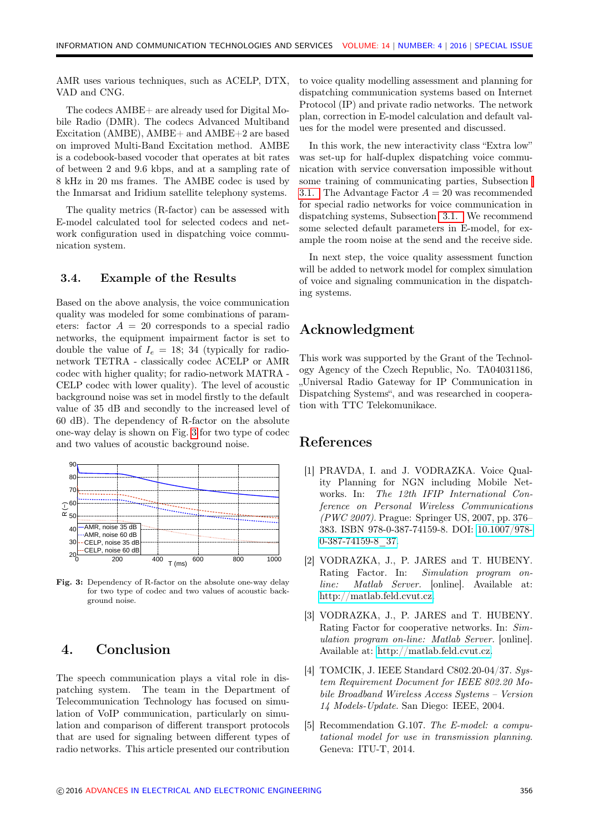AMR uses various techniques, such as ACELP, DTX, VAD and CNG.

The codecs AMBE+ are already used for Digital Mobile Radio (DMR). The codecs Advanced Multiband Excitation (AMBE), AMBE+ and AMBE+2 are based on improved Multi-Band Excitation method. AMBE is a codebook-based vocoder that operates at bit rates of between 2 and 9.6 kbps, and at a sampling rate of 8 kHz in 20 ms frames. The AMBE codec is used by the Inmarsat and Iridium satellite telephony systems.

The quality metrics (R-factor) can be assessed with E-model calculated tool for selected codecs and network configuration used in dispatching voice communication system.

#### 3.4. Example of the Results

Based on the above analysis, the voice communication quality was modeled for some combinations of parameters: factor  $A = 20$  corresponds to a special radio networks, the equipment impairment factor is set to double the value of  $I_e = 18$ ; 34 (typically for radionetwork TETRA - classically codec ACELP or AMR codec with higher quality; for radio-network MATRA - CELP codec with lower quality). The level of acoustic background noise was set in model firstly to the default value of 35 dB and secondly to the increased level of 60 dB). The dependency of R-factor on the absolute one-way delay is shown on Fig. [3](#page-4-5) for two type of codec and two values of acoustic background noise.

<span id="page-4-5"></span>

Fig. 3: Dependency of R-factor on the absolute one-way delay for two type of codec and two values of acoustic background noise.

# 4. Conclusion

The speech communication plays a vital role in dispatching system. The team in the Department of Telecommunication Technology has focused on simulation of VoIP communication, particularly on simulation and comparison of different transport protocols that are used for signaling between different types of radio networks. This article presented our contribution to voice quality modelling assessment and planning for dispatching communication systems based on Internet Protocol (IP) and private radio networks. The network plan, correction in E-model calculation and default values for the model were presented and discussed.

In this work, the new interactivity class "Extra low" was set-up for half-duplex dispatching voice communication with service conversation impossible without some training of communicating parties, Subsection [3.1.](#page-2-1) The Advantage Factor  $A = 20$  was recommended for special radio networks for voice communication in dispatching systems, Subsection [3.1.](#page-2-1) We recommend some selected default parameters in E-model, for example the room noise at the send and the receive side.

In next step, the voice quality assessment function will be added to network model for complex simulation of voice and signaling communication in the dispatching systems.

## Acknowledgment

This work was supported by the Grant of the Technology Agency of the Czech Republic, No. TA04031186, "Universal Radio Gateway for IP Communication in Dispatching Systems", and was researched in cooperation with TTC Telekomunikace.

#### References

- <span id="page-4-2"></span>[1] PRAVDA, I. and J. VODRAZKA. Voice Quality Planning for NGN including Mobile Networks. In: The 12th IFIP International Conference on Personal Wireless Communications (PWC 2007). Prague: Springer US, 2007, pp. 376– 383. ISBN 978-0-387-74159-8. DOI: [10.1007/978-](http://dx.doi.org/10.1007/978-0-387-74159-8_37) [0-387-74159-8\\_37.](http://dx.doi.org/10.1007/978-0-387-74159-8_37)
- <span id="page-4-3"></span>[2] VODRAZKA, J., P. JARES and T. HUBENY. Rating Factor. In: Simulation program online: Matlab Server. [online]. Available at: [http://matlab.feld.cvut.cz.](http://matlab.feld.cvut.cz)
- <span id="page-4-4"></span>[3] VODRAZKA, J., P. JARES and T. HUBENY. Rating Factor for cooperative networks. In: Simulation program on-line: Matlab Server. [online]. Available at: [http://matlab.feld.cvut.cz.](http://matlab.feld.cvut.cz)
- <span id="page-4-1"></span>[4] TOMCIK, J. IEEE Standard C802.20-04/37. System Requirement Document for IEEE 802.20 Mobile Broadband Wireless Access Systems – Version 14 Models-Update. San Diego: IEEE, 2004.
- <span id="page-4-0"></span>[5] Recommendation G.107. The E-model: a computational model for use in transmission planning. Geneva: ITU-T, 2014.